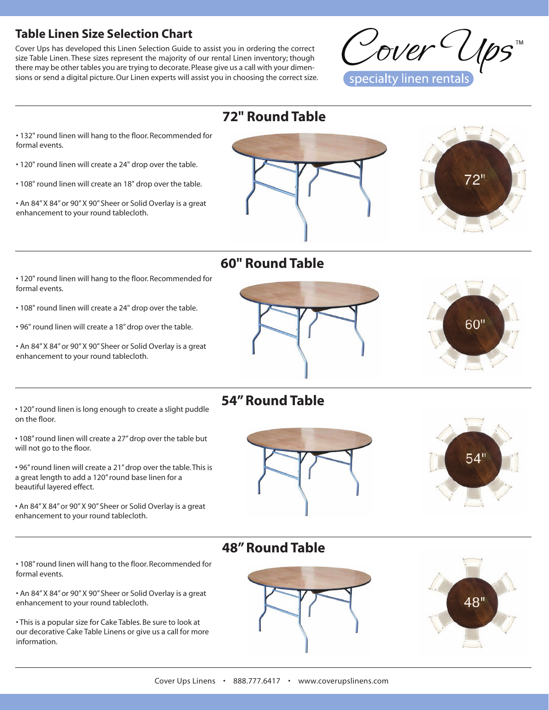## **Table Linen Size Selection Chart**

Cover Ups has developed this Linen Selection Guide to assist you in ordering the correct size Table Linen. These sizes represent the majority of our rental Linen inventory; though there may be other tables you are trying to decorate. Please give us a call with your dimensions or send a digital picture. Our Linen experts will assist you in choosing the correct size.



 **72" Round Table**

- 132" round linen will hang to the floor. Recommended for formal events.
- 120" round linen will create a 24" drop over the table.
- 108" round linen will create an 18" drop over the table.

• An 84" X 84" or 90" X 90" Sheer or Solid Overlay is a great enhancement to your round tablecloth.



# **60" Round Table**

- 120" round linen will hang to the floor. Recommended for formal events.
- 108" round linen will create a 24" drop over the table.
- 96" round linen will create a 18" drop over the table.
- An 84" X 84" or 90" X 90" Sheer or Solid Overlay is a great enhancement to your round tablecloth.

• 120" round linen is long enough to create a slight puddle on the floor.

- 108" round linen will create a 27" drop over the table but will not go to the floor.
- 96" round linen will create a 21" drop over the table. This is a great length to add a 120" round base linen for a beautiful layered effect.

• An 84" X 84" or 90" X 90" Sheer or Solid Overlay is a great enhancement to your round tablecloth.

### • 108" round linen will hang to the floor. Recommended for formal events.

• An 84" X 84" or 90" X 90" Sheer or Solid Overlay is a great enhancement to your round tablecloth.

• This is a popular size for Cake Tables. Be sure to look at our decorative Cake Table Linens or give us a call for more information.





# **54" Round Table**





# **48" Round Table**